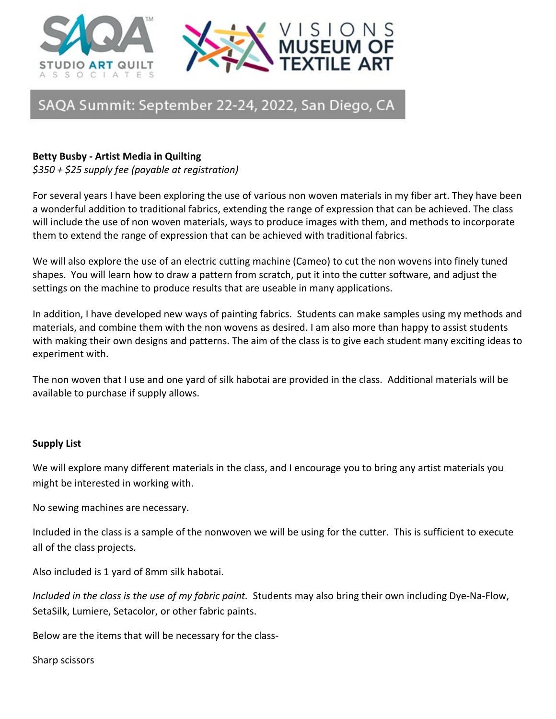



# SAQA Summit: September 22-24, 2022, San Diego, CA

### **Betty Busby - Artist Media in Quilting**

*\$350 + \$25 supply fee (payable at registration)* 

For several years I have been exploring the use of various non woven materials in my fiber art. They have been a wonderful addition to traditional fabrics, extending the range of expression that can be achieved. The class will include the use of non woven materials, ways to produce images with them, and methods to incorporate them to extend the range of expression that can be achieved with traditional fabrics.

We will also explore the use of an electric cutting machine (Cameo) to cut the non wovens into finely tuned shapes. You will learn how to draw a pattern from scratch, put it into the cutter software, and adjust the settings on the machine to produce results that are useable in many applications.

In addition, I have developed new ways of painting fabrics. Students can make samples using my methods and materials, and combine them with the non wovens as desired. I am also more than happy to assist students with making their own designs and patterns. The aim of the class is to give each student many exciting ideas to experiment with.

The non woven that I use and one yard of silk habotai are provided in the class. Additional materials will be available to purchase if supply allows.

### **Supply List**

We will explore many different materials in the class, and I encourage you to bring any artist materials you might be interested in working with.

No sewing machines are necessary.

Included in the class is a sample of the nonwoven we will be using for the cutter. This is sufficient to execute all of the class projects.

Also included is 1 yard of 8mm silk habotai.

*Included in the class is the use of my fabric paint.* Students may also bring their own including Dye-Na-Flow, SetaSilk, Lumiere, Setacolor, or other fabric paints.

Below are the items that will be necessary for the class-

Sharp scissors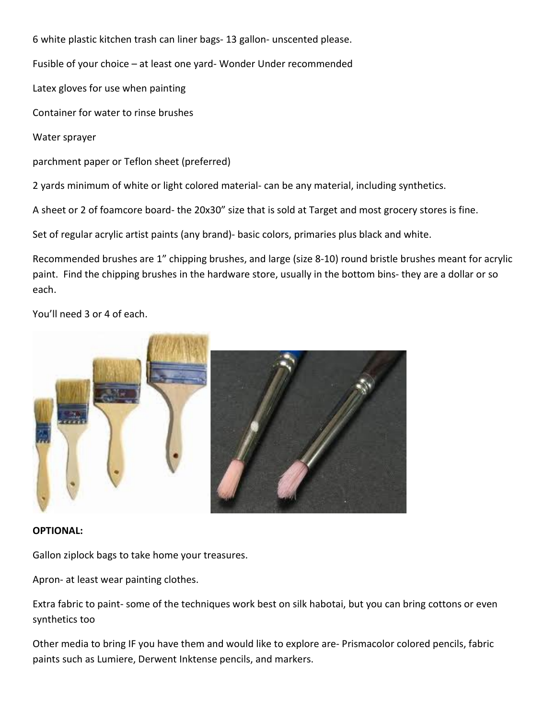6 white plastic kitchen trash can liner bags- 13 gallon- unscented please.

Fusible of your choice – at least one yard- Wonder Under recommended

Latex gloves for use when painting

Container for water to rinse brushes

Water sprayer

parchment paper or Teflon sheet (preferred)

2 yards minimum of white or light colored material- can be any material, including synthetics.

A sheet or 2 of foamcore board- the 20x30" size that is sold at Target and most grocery stores is fine.

Set of regular acrylic artist paints (any brand)- basic colors, primaries plus black and white.

Recommended brushes are 1" chipping brushes, and large (size 8-10) round bristle brushes meant for acrylic paint. Find the chipping brushes in the hardware store, usually in the bottom bins- they are a dollar or so each.

You'll need 3 or 4 of each.



#### **OPTIONAL:**

Gallon ziplock bags to take home your treasures.

Apron- at least wear painting clothes.

Extra fabric to paint- some of the techniques work best on silk habotai, but you can bring cottons or even synthetics too

Other media to bring IF you have them and would like to explore are- Prismacolor colored pencils, fabric paints such as Lumiere, Derwent Inktense pencils, and markers.